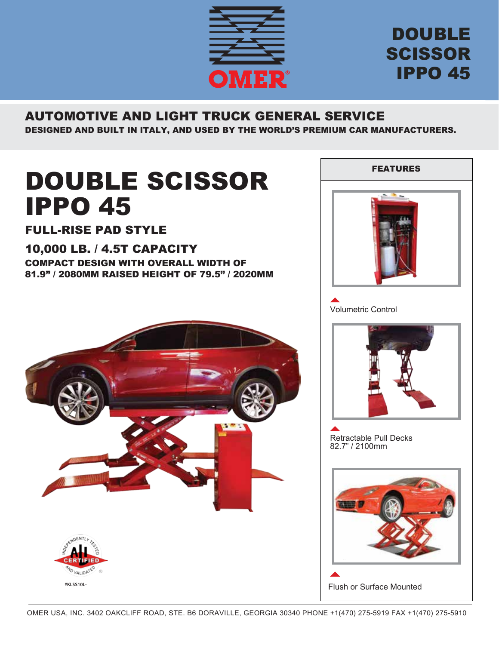

## DOUBLE SCISSOR IPPO 45

## AUTOMOTIVE AND LIGHT TRUCK GENERAL SERVICE

DESIGNED AND BUILT IN ITALY, AND USED BY THE WORLD'S PREMIUM CAR MANUFACTURERS.

# DOUBLE SCISSOR IPPO 45

### FULL-RISE PAD STYLE

#### 10,000 LB. / 4.5T CAPACITY COMPACT DESIGN WITH OVERALL WIDTH OF

81.9" / 2080MM RAISED HEIGHT OF 79.5" / 2020MM





Volumetric Control



Retractable Pull Decks 82.7" / 2100mm